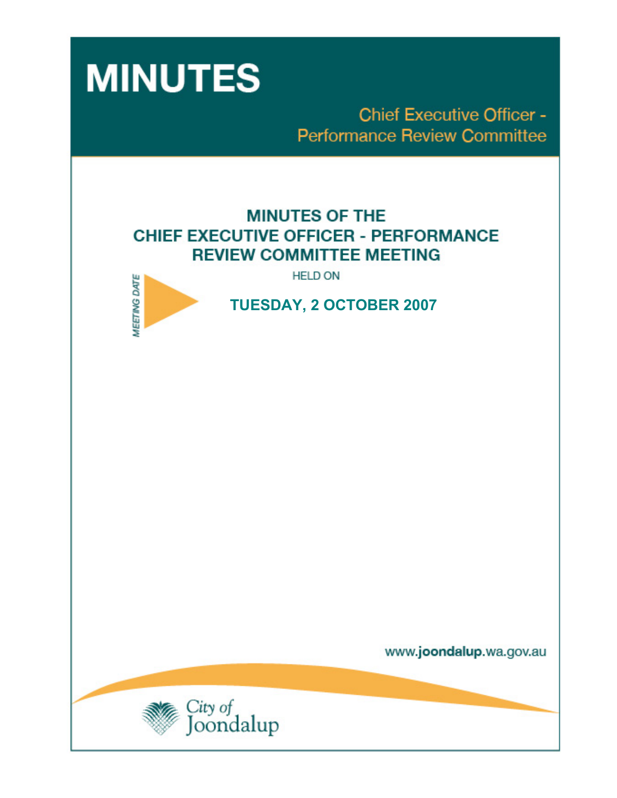

**Chief Executive Officer -Performance Review Committee** 

# **MINUTES OF THE CHIEF EXECUTIVE OFFICER - PERFORMANCE REVIEW COMMITTEE MEETING**

**HELD ON** 



 **TUESDAY, 2 OCTOBER 2007** 

www.joondalup.wa.gov.au

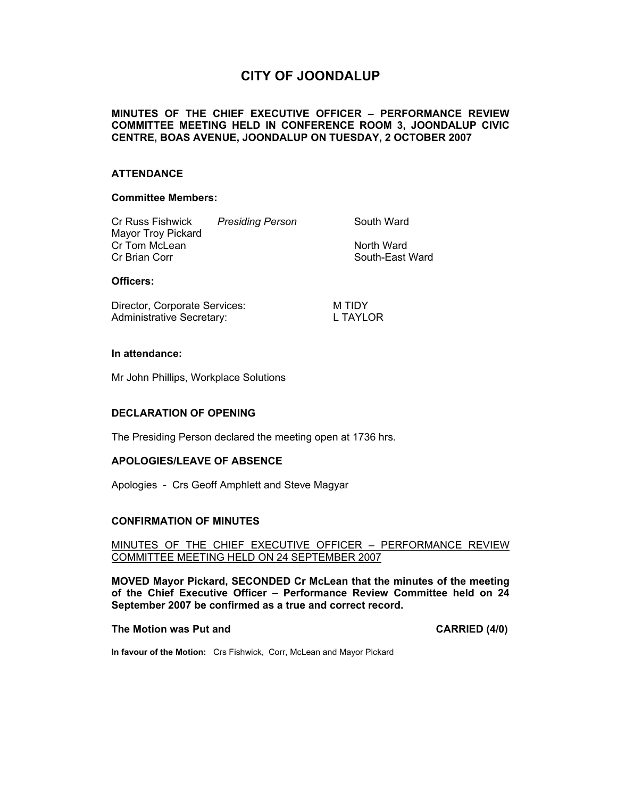# **CITY OF JOONDALUP**

### **MINUTES OF THE CHIEF EXECUTIVE OFFICER – PERFORMANCE REVIEW COMMITTEE MEETING HELD IN CONFERENCE ROOM 3, JOONDALUP CIVIC CENTRE, BOAS AVENUE, JOONDALUP ON TUESDAY, 2 OCTOBER 2007**

#### **ATTENDANCE**

#### **Committee Members:**

| Cr Russ Fishwick   | <b>Presiding Person</b> | South Ward      |
|--------------------|-------------------------|-----------------|
| Mayor Troy Pickard |                         |                 |
| Cr Tom McLean      |                         | North Ward      |
| Cr Brian Corr      |                         | South-East Ward |
|                    |                         |                 |

#### **Officers:**

Director, Corporate Services: M TIDY Administrative Secretary: L TAYLOR

#### **In attendance:**

Mr John Phillips, Workplace Solutions

#### **DECLARATION OF OPENING**

The Presiding Person declared the meeting open at 1736 hrs.

#### **APOLOGIES/LEAVE OF ABSENCE**

Apologies - Crs Geoff Amphlett and Steve Magyar

#### **CONFIRMATION OF MINUTES**

MINUTES OF THE CHIEF EXECUTIVE OFFICER – PERFORMANCE REVIEW COMMITTEE MEETING HELD ON 24 SEPTEMBER 2007

**MOVED Mayor Pickard, SECONDED Cr McLean that the minutes of the meeting of the Chief Executive Officer – Performance Review Committee held on 24 September 2007 be confirmed as a true and correct record.** 

#### **The Motion was Put and CARRIED (4/0) CARRIED (4/0)**

**In favour of the Motion:** Crs Fishwick, Corr, McLean and Mayor Pickard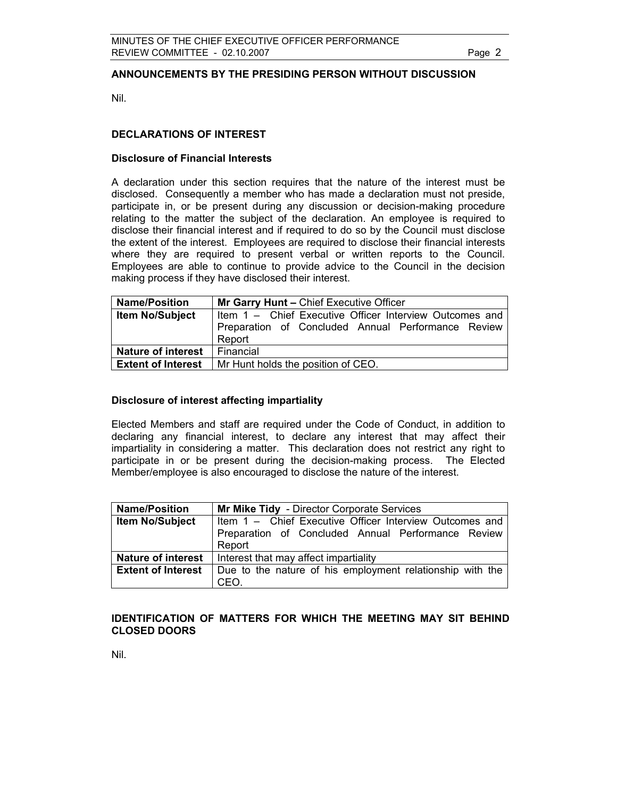### **ANNOUNCEMENTS BY THE PRESIDING PERSON WITHOUT DISCUSSION**

Nil.

### **DECLARATIONS OF INTEREST**

#### **Disclosure of Financial Interests**

A declaration under this section requires that the nature of the interest must be disclosed. Consequently a member who has made a declaration must not preside, participate in, or be present during any discussion or decision-making procedure relating to the matter the subject of the declaration. An employee is required to disclose their financial interest and if required to do so by the Council must disclose the extent of the interest. Employees are required to disclose their financial interests where they are required to present verbal or written reports to the Council. Employees are able to continue to provide advice to the Council in the decision making process if they have disclosed their interest.

| <b>Name/Position</b>      | Mr Garry Hunt - Chief Executive Officer                 |  |
|---------------------------|---------------------------------------------------------|--|
| <b>Item No/Subject</b>    | Item 1 - Chief Executive Officer Interview Outcomes and |  |
|                           | Preparation of Concluded Annual Performance Review      |  |
|                           | Report                                                  |  |
| <b>Nature of interest</b> | Financial                                               |  |
| <b>Extent of Interest</b> | Mr Hunt holds the position of CEO.                      |  |

#### **Disclosure of interest affecting impartiality**

Elected Members and staff are required under the Code of Conduct, in addition to declaring any financial interest, to declare any interest that may affect their impartiality in considering a matter. This declaration does not restrict any right to participate in or be present during the decision-making process. The Elected Member/employee is also encouraged to disclose the nature of the interest.

| <b>Name/Position</b>      | Mr Mike Tidy - Director Corporate Services                |  |
|---------------------------|-----------------------------------------------------------|--|
| <b>Item No/Subject</b>    | Item 1 - Chief Executive Officer Interview Outcomes and   |  |
|                           | Preparation of Concluded Annual Performance Review        |  |
|                           | Report                                                    |  |
| <b>Nature of interest</b> | Interest that may affect impartiality                     |  |
| <b>Extent of Interest</b> | Due to the nature of his employment relationship with the |  |
|                           | CEO.                                                      |  |

#### **IDENTIFICATION OF MATTERS FOR WHICH THE MEETING MAY SIT BEHIND CLOSED DOORS**

Nil.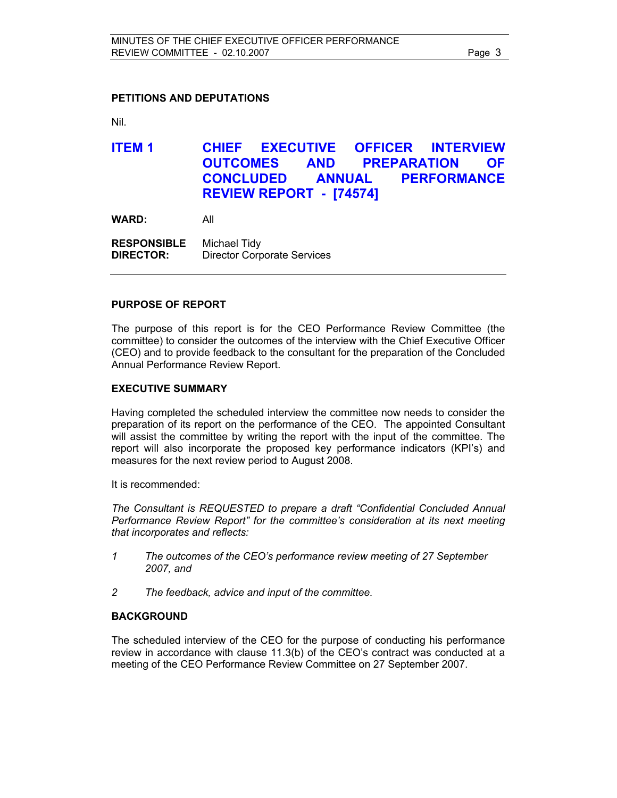#### **PETITIONS AND DEPUTATIONS**

Nil.

# **ITEM 1 CHIEF EXECUTIVE OFFICER INTERVIEW OUTCOMES AND PREPARATION OF CONCLUDED ANNUAL PERFORMANCE REVIEW REPORT - [74574]**

**WARD:** All

**RESPONSIBLE** Michael Tidy **DIRECTOR:** Director Corporate Services

#### **PURPOSE OF REPORT**

The purpose of this report is for the CEO Performance Review Committee (the committee) to consider the outcomes of the interview with the Chief Executive Officer (CEO) and to provide feedback to the consultant for the preparation of the Concluded Annual Performance Review Report.

#### **EXECUTIVE SUMMARY**

Having completed the scheduled interview the committee now needs to consider the preparation of its report on the performance of the CEO. The appointed Consultant will assist the committee by writing the report with the input of the committee. The report will also incorporate the proposed key performance indicators (KPI's) and measures for the next review period to August 2008.

It is recommended:

*The Consultant is REQUESTED to prepare a draft "Confidential Concluded Annual Performance Review Report" for the committee's consideration at its next meeting that incorporates and reflects:* 

- *1 The outcomes of the CEO's performance review meeting of 27 September 2007, and*
- *2 The feedback, advice and input of the committee.*

#### **BACKGROUND**

The scheduled interview of the CEO for the purpose of conducting his performance review in accordance with clause 11.3(b) of the CEO's contract was conducted at a meeting of the CEO Performance Review Committee on 27 September 2007.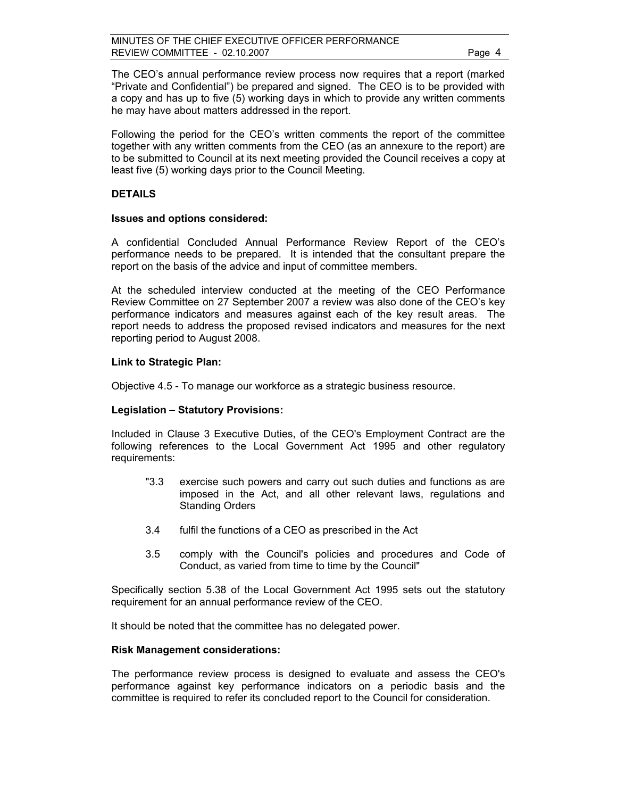The CEO's annual performance review process now requires that a report (marked "Private and Confidential") be prepared and signed. The CEO is to be provided with a copy and has up to five (5) working days in which to provide any written comments he may have about matters addressed in the report.

Following the period for the CEO's written comments the report of the committee together with any written comments from the CEO (as an annexure to the report) are to be submitted to Council at its next meeting provided the Council receives a copy at least five (5) working days prior to the Council Meeting.

#### **DETAILS**

#### **Issues and options considered:**

A confidential Concluded Annual Performance Review Report of the CEO's performance needs to be prepared. It is intended that the consultant prepare the report on the basis of the advice and input of committee members.

At the scheduled interview conducted at the meeting of the CEO Performance Review Committee on 27 September 2007 a review was also done of the CEO's key performance indicators and measures against each of the key result areas. The report needs to address the proposed revised indicators and measures for the next reporting period to August 2008.

#### **Link to Strategic Plan:**

Objective 4.5 - To manage our workforce as a strategic business resource.

#### **Legislation – Statutory Provisions:**

Included in Clause 3 Executive Duties, of the CEO's Employment Contract are the following references to the Local Government Act 1995 and other regulatory requirements:

- "3.3 exercise such powers and carry out such duties and functions as are imposed in the Act, and all other relevant laws, regulations and Standing Orders
- 3.4 fulfil the functions of a CEO as prescribed in the Act
- 3.5 comply with the Council's policies and procedures and Code of Conduct, as varied from time to time by the Council"

Specifically section 5.38 of the Local Government Act 1995 sets out the statutory requirement for an annual performance review of the CEO.

It should be noted that the committee has no delegated power.

#### **Risk Management considerations:**

The performance review process is designed to evaluate and assess the CEO's performance against key performance indicators on a periodic basis and the committee is required to refer its concluded report to the Council for consideration.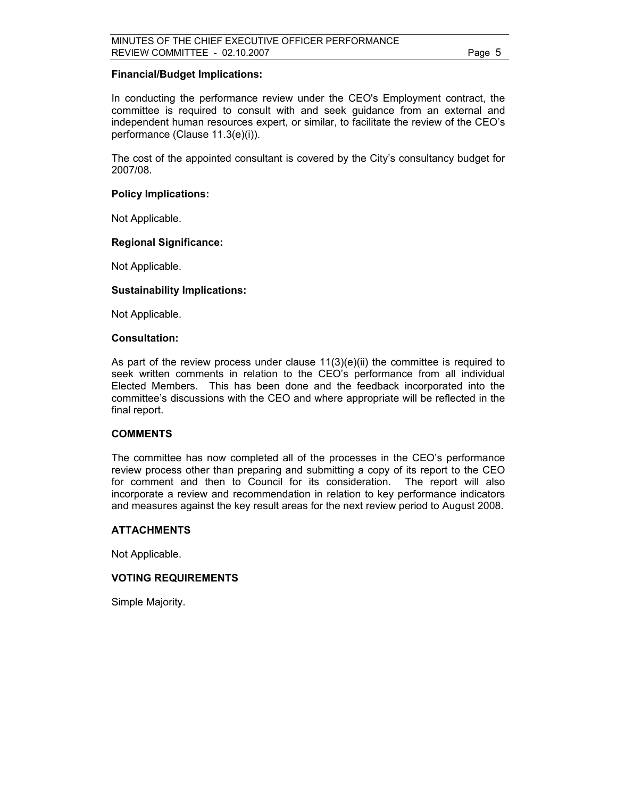#### **Financial/Budget Implications:**

In conducting the performance review under the CEO's Employment contract, the committee is required to consult with and seek guidance from an external and independent human resources expert, or similar, to facilitate the review of the CEO's performance (Clause 11.3(e)(i)).

The cost of the appointed consultant is covered by the City's consultancy budget for 2007/08.

### **Policy Implications:**

Not Applicable.

### **Regional Significance:**

Not Applicable.

#### **Sustainability Implications:**

Not Applicable.

#### **Consultation:**

As part of the review process under clause  $11(3)(e)(ii)$  the committee is required to seek written comments in relation to the CEO's performance from all individual Elected Members. This has been done and the feedback incorporated into the committee's discussions with the CEO and where appropriate will be reflected in the final report.

#### **COMMENTS**

The committee has now completed all of the processes in the CEO's performance review process other than preparing and submitting a copy of its report to the CEO for comment and then to Council for its consideration. The report will also incorporate a review and recommendation in relation to key performance indicators and measures against the key result areas for the next review period to August 2008.

#### **ATTACHMENTS**

Not Applicable.

#### **VOTING REQUIREMENTS**

Simple Majority.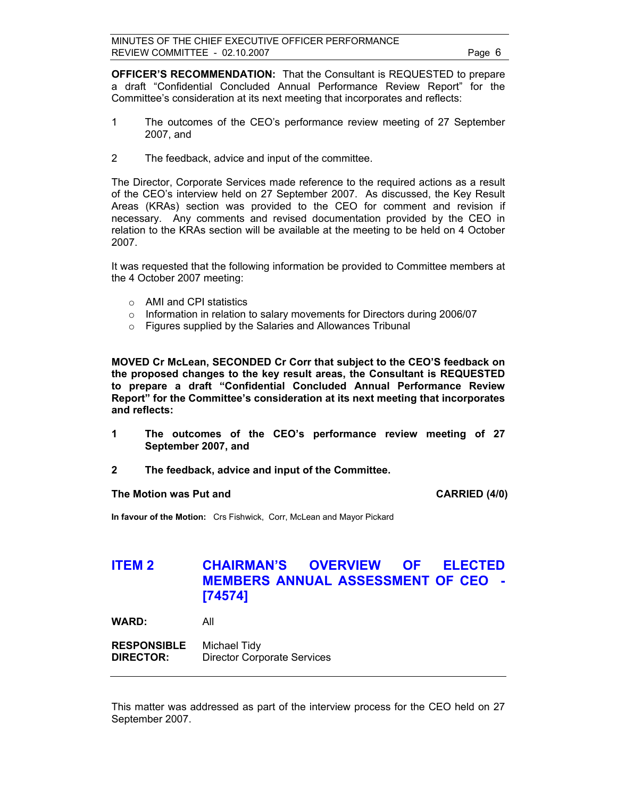**OFFICER'S RECOMMENDATION:** That the Consultant is REQUESTED to prepare a draft "Confidential Concluded Annual Performance Review Report" for the Committee's consideration at its next meeting that incorporates and reflects:

- 1 The outcomes of the CEO's performance review meeting of 27 September 2007, and
- 2 The feedback, advice and input of the committee.

The Director, Corporate Services made reference to the required actions as a result of the CEO's interview held on 27 September 2007. As discussed, the Key Result Areas (KRAs) section was provided to the CEO for comment and revision if necessary. Any comments and revised documentation provided by the CEO in relation to the KRAs section will be available at the meeting to be held on 4 October 2007.

It was requested that the following information be provided to Committee members at the 4 October 2007 meeting:

- o AMI and CPI statistics
- o Information in relation to salary movements for Directors during 2006/07
- o Figures supplied by the Salaries and Allowances Tribunal

**MOVED Cr McLean, SECONDED Cr Corr that subject to the CEO'S feedback on the proposed changes to the key result areas, the Consultant is REQUESTED to prepare a draft "Confidential Concluded Annual Performance Review Report" for the Committee's consideration at its next meeting that incorporates and reflects:** 

- **1 The outcomes of the CEO's performance review meeting of 27 September 2007, and**
- **2 The feedback, advice and input of the Committee.**

#### The Motion was Put and **CARRIED** (4/0)

**In favour of the Motion:** Crs Fishwick, Corr, McLean and Mayor Pickard

# **ITEM 2 CHAIRMAN'S OVERVIEW OF ELECTED MEMBERS ANNUAL ASSESSMENT OF CEO - [74574]**

**WARD:** All

**RESPONSIBLE** Michael Tidy **DIRECTOR:** Director Corporate Services

This matter was addressed as part of the interview process for the CEO held on 27 September 2007.